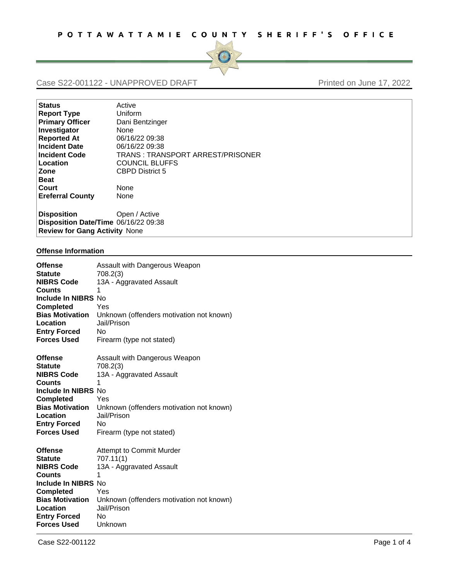

## Case S22-001122 - UNAPPROVED DRAFT Printed on June 17, 2022

| <b>Status</b>                        | Active                            |  |
|--------------------------------------|-----------------------------------|--|
| <b>Report Type</b>                   | Uniform                           |  |
| <b>Primary Officer</b>               | Dani Bentzinger                   |  |
| Investigator                         | None                              |  |
| <b>Reported At</b>                   | 06/16/22 09:38                    |  |
| <b>Incident Date</b>                 | 06/16/22 09:38                    |  |
| <b>Incident Code</b>                 | TRANS : TRANSPORT ARREST/PRISONER |  |
| Location                             | <b>COUNCIL BLUFFS</b>             |  |
| Zone                                 | <b>CBPD District 5</b>            |  |
| <b>Beat</b>                          |                                   |  |
| Court                                | None                              |  |
| <b>Ereferral County</b>              | None                              |  |
|                                      |                                   |  |
| <b>Disposition</b>                   | Open / Active                     |  |
| Disposition Date/Time 06/16/22 09:38 |                                   |  |
| <b>Review for Gang Activity None</b> |                                   |  |

## **Offense Information**

| <b>Offense</b>         | Assault with Dangerous Weapon            |
|------------------------|------------------------------------------|
| <b>Statute</b>         | 708.2(3)                                 |
| <b>NIBRS Code</b>      | 13A - Aggravated Assault                 |
| <b>Counts</b>          | 1                                        |
| Include In NIBRS No    |                                          |
| <b>Completed</b>       | Yes                                      |
| <b>Bias Motivation</b> | Unknown (offenders motivation not known) |
| Location               | Jail/Prison                              |
| <b>Entry Forced</b>    | No                                       |
| <b>Forces Used</b>     | Firearm (type not stated)                |
|                        |                                          |
| <b>Offense</b>         | Assault with Dangerous Weapon            |
| <b>Statute</b>         | 708.2(3)                                 |
| <b>NIBRS Code</b>      | 13A - Aggravated Assault                 |
| <b>Counts</b>          | 1                                        |
| Include In NIBRS No    |                                          |
| <b>Completed</b>       | Yes                                      |
| <b>Bias Motivation</b> | Unknown (offenders motivation not known) |
| Location               | Jail/Prison                              |
| <b>Entry Forced</b>    | No                                       |
| <b>Forces Used</b>     | Firearm (type not stated)                |
|                        |                                          |
| <b>Offense</b>         | Attempt to Commit Murder                 |
| <b>Statute</b>         | 707.11(1)                                |
| <b>NIBRS Code</b>      | 13A - Aggravated Assault                 |
| Counts                 | 1                                        |
| Include In NIBRS No    |                                          |
| <b>Completed</b>       | Yes                                      |
| <b>Bias Motivation</b> | Unknown (offenders motivation not known) |
| Location               | Jail/Prison                              |
| <b>Entry Forced</b>    | No                                       |
| <b>Forces Used</b>     | Unknown                                  |
|                        |                                          |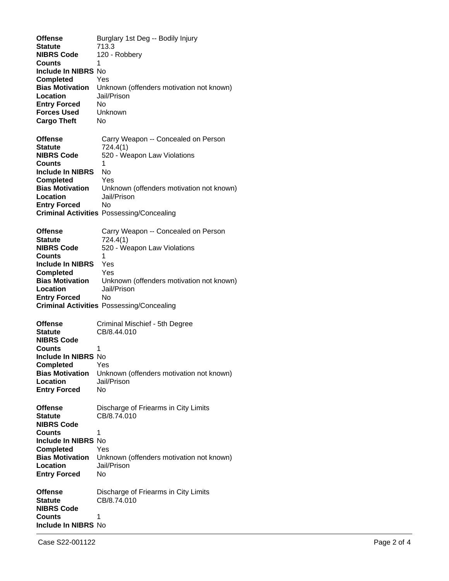| <b>Offense</b><br>Statute<br><b>NIBRS Code</b><br>Counts<br>Include In NIBRS No<br><b>Completed</b><br><b>Bias Motivation</b><br>Location<br><b>Entry Forced</b><br><b>Forces Used</b><br><b>Cargo Theft</b> | Burglary 1st Deg -- Bodily Injury<br>713.3<br>120 - Robbery<br>1<br>Yes<br>Unknown (offenders motivation not known)<br>Jail/Prison<br>No<br>Unknown<br>No                                                                    |
|--------------------------------------------------------------------------------------------------------------------------------------------------------------------------------------------------------------|------------------------------------------------------------------------------------------------------------------------------------------------------------------------------------------------------------------------------|
| <b>Offense</b><br>Statute<br><b>NIBRS Code</b><br>Counts<br>Include In NIBRS<br><b>Completed</b><br><b>Bias Motivation</b><br>Location<br><b>Entry Forced</b>                                                | Carry Weapon -- Concealed on Person<br>724.4(1)<br>520 - Weapon Law Violations<br>1<br><b>No</b><br>Yes<br>Unknown (offenders motivation not known)<br>Jail/Prison<br>No<br><b>Criminal Activities Possessing/Concealing</b> |
| <b>Offense</b><br><b>Statute</b><br><b>NIBRS Code</b><br>Counts<br><b>Include In NIBRS</b><br><b>Completed</b><br><b>Bias Motivation</b><br>Location<br><b>Entry Forced</b>                                  | Carry Weapon -- Concealed on Person<br>724.4(1)<br>520 - Weapon Law Violations<br>1<br>Yes<br>Yes<br>Unknown (offenders motivation not known)<br>Jail/Prison<br>No<br><b>Criminal Activities Possessing/Concealing</b>       |
| <b>Offense</b><br><b>Statute</b><br><b>NIBRS Code</b><br>Counts<br><b>Include In NIBRS No</b><br>Completed<br><b>Bias Motivation</b><br>Location<br><b>Entry Forced</b>                                      | Criminal Mischief - 5th Degree<br>CB/8.44.010<br>1<br>Yes<br>Unknown (offenders motivation not known)<br>Jail/Prison<br>No                                                                                                   |
| <b>Offense</b><br><b>Statute</b><br><b>NIBRS Code</b><br><b>Counts</b><br><b>Include In NIBRS No</b><br><b>Completed</b><br><b>Bias Motivation</b><br>Location<br><b>Entry Forced</b>                        | Discharge of Friearms in City Limits<br>CB/8.74.010<br>1<br>Yes<br>Unknown (offenders motivation not known)<br>Jail/Prison<br>No                                                                                             |
| <b>Offense</b><br>Statute<br><b>NIBRS Code</b><br>Counts<br>Include In NIBRS No                                                                                                                              | Discharge of Friearms in City Limits<br>CB/8.74.010<br>1                                                                                                                                                                     |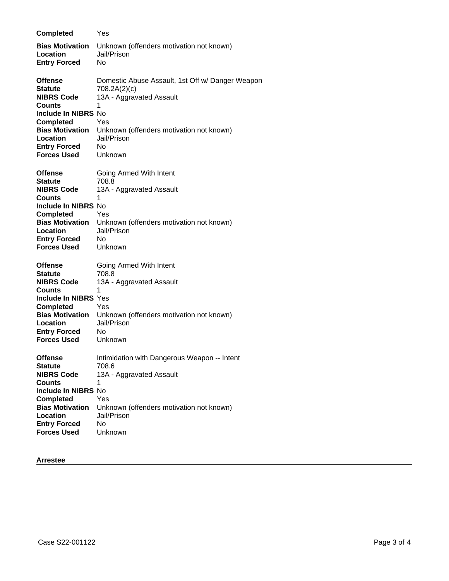| <b>Completed</b>                                                                                                                                                                                            | Yes                                                                                                                                                                                  |
|-------------------------------------------------------------------------------------------------------------------------------------------------------------------------------------------------------------|--------------------------------------------------------------------------------------------------------------------------------------------------------------------------------------|
| <b>Bias Motivation</b><br>Location<br><b>Entry Forced</b>                                                                                                                                                   | Unknown (offenders motivation not known)<br>Jail/Prison<br>No                                                                                                                        |
| <b>Offense</b><br><b>Statute</b><br><b>NIBRS Code</b><br><b>Counts</b><br><b>Include In NIBRS No</b><br><b>Completed</b><br><b>Bias Motivation</b><br>Location<br><b>Entry Forced</b><br><b>Forces Used</b> | Domestic Abuse Assault, 1st Off w/ Danger Weapon<br>708.2A(2)(c)<br>13A - Aggravated Assault<br>1<br>Yes<br>Unknown (offenders motivation not known)<br>Jail/Prison<br>No<br>Unknown |
| <b>Offense</b><br><b>Statute</b><br><b>NIBRS Code</b><br><b>Counts</b><br>Include In NIBRS No<br><b>Completed</b><br><b>Bias Motivation</b><br>Location<br><b>Entry Forced</b><br><b>Forces Used</b>        | Going Armed With Intent<br>708.8<br>13A - Aggravated Assault<br>1<br>Yes<br>Unknown (offenders motivation not known)<br>Jail/Prison<br>No<br>Unknown                                 |
| <b>Offense</b><br><b>Statute</b><br><b>NIBRS Code</b><br>Counts<br>Include In NIBRS Yes<br><b>Completed</b><br><b>Bias Motivation</b><br>Location<br><b>Entry Forced</b><br><b>Forces Used</b>              | Going Armed With Intent<br>708.8<br>13A - Aggravated Assault<br>1<br>Yes<br>Unknown (offenders motivation not known)<br>Jail/Prison<br>No<br>Unknown                                 |
| <b>Offense</b><br><b>Statute</b><br><b>NIBRS Code</b><br><b>Counts</b><br>Include In NIBRS No<br><b>Completed</b><br><b>Bias Motivation</b><br>Location<br><b>Entry Forced</b><br><b>Forces Used</b>        | Intimidation with Dangerous Weapon -- Intent<br>708.6<br>13A - Aggravated Assault<br>1<br>Yes<br>Unknown (offenders motivation not known)<br>Jail/Prison<br>No<br>Unknown            |

## **Arrestee**